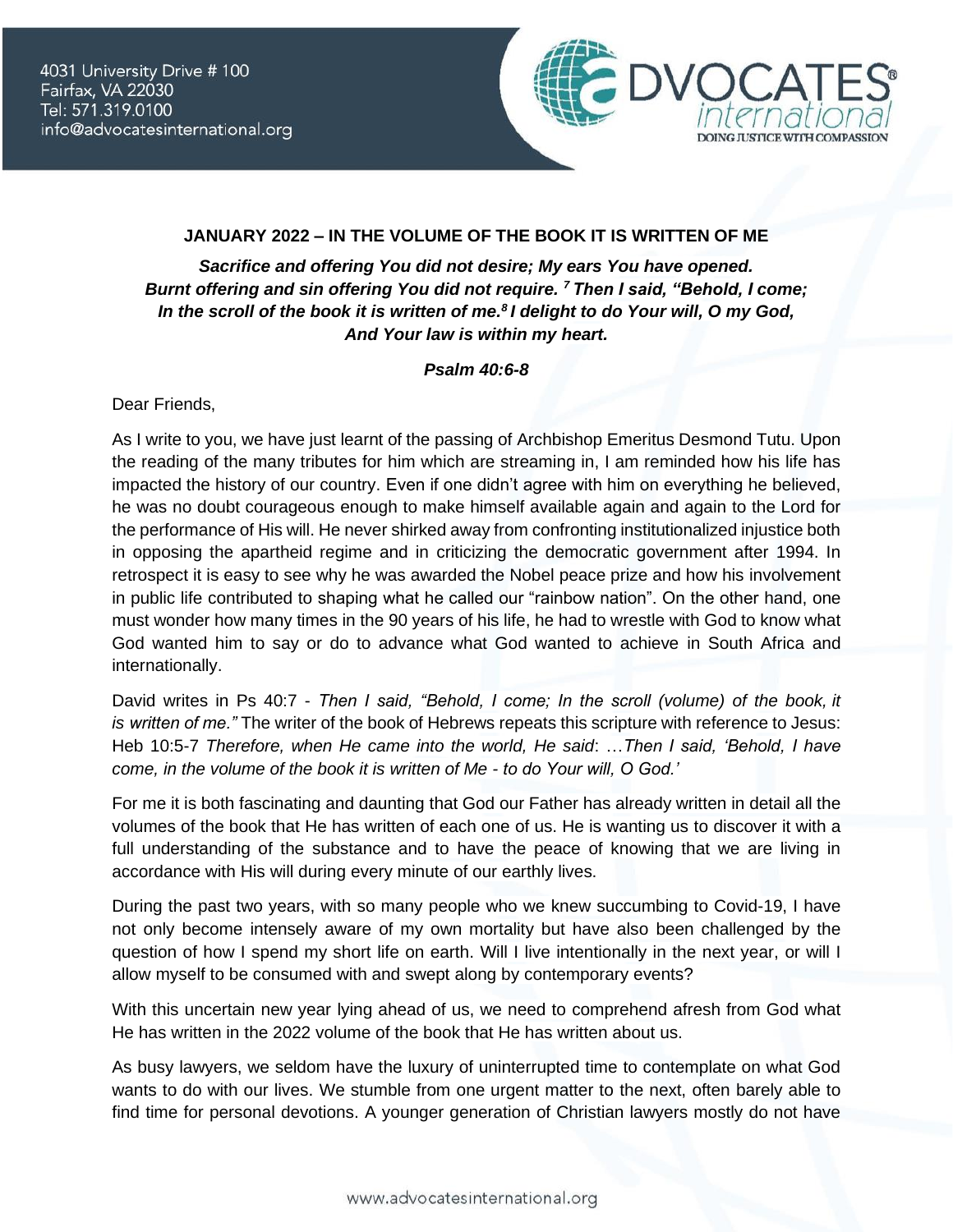

## **JANUARY 2022 – IN THE VOLUME OF THE BOOK IT IS WRITTEN OF ME**

*Sacrifice and offering You did not desire; My ears You have opened. Burnt offering and sin offering You did not require. <sup>7</sup> Then I said, "Behold, I come; In the scroll of the book it is written of me.<sup>8</sup> I delight to do Your will, O my God, And Your law is within my heart.*

## *Psalm 40:6-8*

Dear Friends,

As I write to you, we have just learnt of the passing of Archbishop Emeritus Desmond Tutu. Upon the reading of the many tributes for him which are streaming in, I am reminded how his life has impacted the history of our country. Even if one didn't agree with him on everything he believed, he was no doubt courageous enough to make himself available again and again to the Lord for the performance of His will. He never shirked away from confronting institutionalized injustice both in opposing the apartheid regime and in criticizing the democratic government after 1994. In retrospect it is easy to see why he was awarded the Nobel peace prize and how his involvement in public life contributed to shaping what he called our "rainbow nation". On the other hand, one must wonder how many times in the 90 years of his life, he had to wrestle with God to know what God wanted him to say or do to advance what God wanted to achieve in South Africa and internationally.

David writes in Ps 40:7 - *Then I said, "Behold, I come; In the scroll (volume) of the book, it is written of me."* The writer of the book of Hebrews repeats this scripture with reference to Jesus: Heb 10:5-7 *Therefore, when He came into the world, He said*: …*Then I said, 'Behold, I have come, in the volume of the book it is written of Me - to do Your will, O God.'*

For me it is both fascinating and daunting that God our Father has already written in detail all the volumes of the book that He has written of each one of us. He is wanting us to discover it with a full understanding of the substance and to have the peace of knowing that we are living in accordance with His will during every minute of our earthly lives.

During the past two years, with so many people who we knew succumbing to Covid-19, I have not only become intensely aware of my own mortality but have also been challenged by the question of how I spend my short life on earth. Will I live intentionally in the next year, or will I allow myself to be consumed with and swept along by contemporary events?

With this uncertain new year lying ahead of us, we need to comprehend afresh from God what He has written in the 2022 volume of the book that He has written about us.

As busy lawyers, we seldom have the luxury of uninterrupted time to contemplate on what God wants to do with our lives. We stumble from one urgent matter to the next, often barely able to find time for personal devotions. A younger generation of Christian lawyers mostly do not have